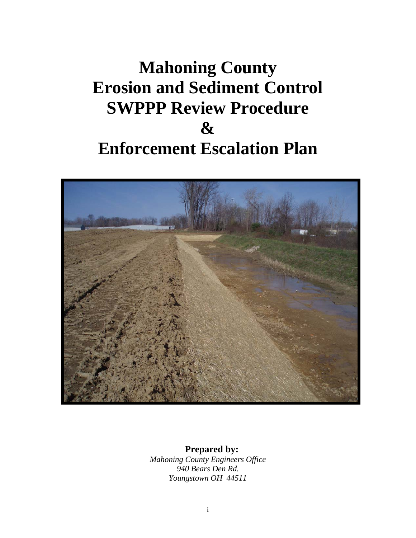# **Mahoning County Erosion and Sediment Control SWPPP Review Procedure & Enforcement Escalation Plan**



## **Prepared by:**

*Mahoning County Engineers Office 940 Bears Den Rd. Youngstown OH 44511*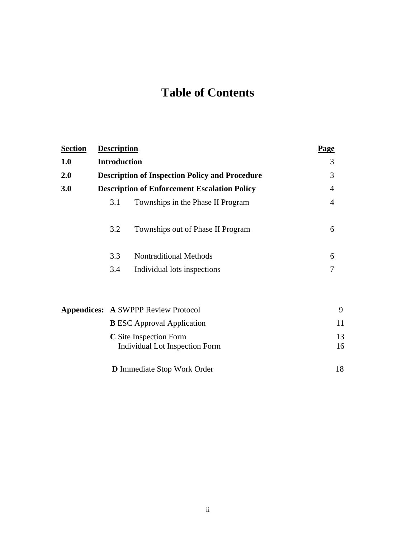# **Table of Contents**

| <b>Section</b> | <b>Description</b>                                    |                                                                        | Page           |
|----------------|-------------------------------------------------------|------------------------------------------------------------------------|----------------|
| 1.0            | <b>Introduction</b>                                   |                                                                        | 3              |
| <b>2.0</b>     | <b>Description of Inspection Policy and Procedure</b> | 3                                                                      |                |
| 3.0            | <b>Description of Enforcement Escalation Policy</b>   | 4                                                                      |                |
|                | 3.1                                                   | Townships in the Phase II Program                                      | $\overline{4}$ |
|                | 3.2                                                   | Townships out of Phase II Program                                      | 6              |
|                | 3.3                                                   | <b>Nontraditional Methods</b>                                          | 6              |
|                | 3.4                                                   | Individual lots inspections                                            | 7              |
|                |                                                       | <b>Appendices: A SWPPP Review Protocol</b>                             | 9              |
|                |                                                       | <b>B</b> ESC Approval Application                                      | 11             |
|                |                                                       | <b>C</b> Site Inspection Form<br><b>Individual Lot Inspection Form</b> | 13<br>16       |
|                |                                                       | <b>D</b> Immediate Stop Work Order                                     | 18             |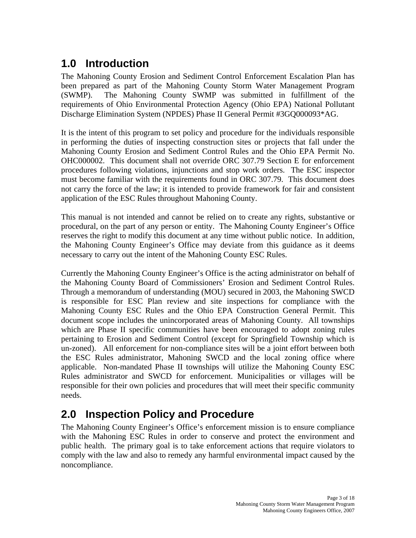# **1.0 Introduction**

The Mahoning County Erosion and Sediment Control Enforcement Escalation Plan has been prepared as part of the Mahoning County Storm Water Management Program (SWMP). The Mahoning County SWMP was submitted in fulfillment of the requirements of Ohio Environmental Protection Agency (Ohio EPA) National Pollutant Discharge Elimination System (NPDES) Phase II General Permit #3GQ000093\*AG.

It is the intent of this program to set policy and procedure for the individuals responsible in performing the duties of inspecting construction sites or projects that fall under the Mahoning County Erosion and Sediment Control Rules and the Ohio EPA Permit No. OHC000002. This document shall not override ORC 307.79 Section E for enforcement procedures following violations, injunctions and stop work orders. The ESC inspector must become familiar with the requirements found in ORC 307.79. This document does not carry the force of the law; it is intended to provide framework for fair and consistent application of the ESC Rules throughout Mahoning County.

This manual is not intended and cannot be relied on to create any rights, substantive or procedural, on the part of any person or entity. The Mahoning County Engineer's Office reserves the right to modify this document at any time without public notice. In addition, the Mahoning County Engineer's Office may deviate from this guidance as it deems necessary to carry out the intent of the Mahoning County ESC Rules.

Currently the Mahoning County Engineer's Office is the acting administrator on behalf of the Mahoning County Board of Commissioners' Erosion and Sediment Control Rules. Through a memorandum of understanding (MOU) secured in 2003, the Mahoning SWCD is responsible for ESC Plan review and site inspections for compliance with the Mahoning County ESC Rules and the Ohio EPA Construction General Permit. This document scope includes the unincorporated areas of Mahoning County. All townships which are Phase II specific communities have been encouraged to adopt zoning rules pertaining to Erosion and Sediment Control (except for Springfield Township which is un-zoned). All enforcement for non-compliance sites will be a joint effort between both the ESC Rules administrator, Mahoning SWCD and the local zoning office where applicable. Non-mandated Phase II townships will utilize the Mahoning County ESC Rules administrator and SWCD for enforcement. Municipalities or villages will be responsible for their own policies and procedures that will meet their specific community needs.

# **2.0 Inspection Policy and Procedure**

The Mahoning County Engineer's Office's enforcement mission is to ensure compliance with the Mahoning ESC Rules in order to conserve and protect the environment and public health. The primary goal is to take enforcement actions that require violators to comply with the law and also to remedy any harmful environmental impact caused by the noncompliance.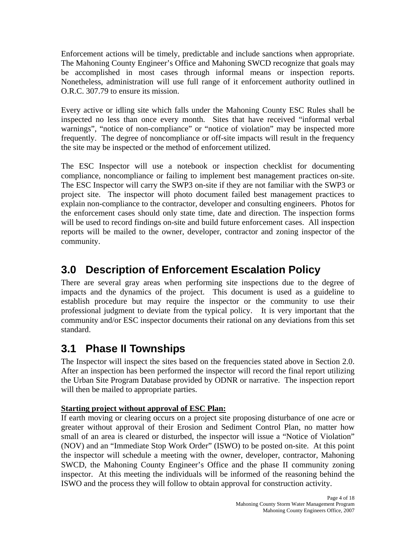Enforcement actions will be timely, predictable and include sanctions when appropriate. The Mahoning County Engineer's Office and Mahoning SWCD recognize that goals may be accomplished in most cases through informal means or inspection reports. Nonetheless, administration will use full range of it enforcement authority outlined in O.R.C. 307.79 to ensure its mission.

Every active or idling site which falls under the Mahoning County ESC Rules shall be inspected no less than once every month. Sites that have received "informal verbal warnings", "notice of non-compliance" or "notice of violation" may be inspected more frequently. The degree of noncompliance or off-site impacts will result in the frequency the site may be inspected or the method of enforcement utilized.

The ESC Inspector will use a notebook or inspection checklist for documenting compliance, noncompliance or failing to implement best management practices on-site. The ESC Inspector will carry the SWP3 on-site if they are not familiar with the SWP3 or project site. The inspector will photo document failed best management practices to explain non-compliance to the contractor, developer and consulting engineers. Photos for the enforcement cases should only state time, date and direction. The inspection forms will be used to record findings on-site and build future enforcement cases. All inspection reports will be mailed to the owner, developer, contractor and zoning inspector of the community.

# **3.0 Description of Enforcement Escalation Policy**

There are several gray areas when performing site inspections due to the degree of impacts and the dynamics of the project. This document is used as a guideline to establish procedure but may require the inspector or the community to use their professional judgment to deviate from the typical policy. It is very important that the community and/or ESC inspector documents their rational on any deviations from this set standard.

# **3.1 Phase II Townships**

The Inspector will inspect the sites based on the frequencies stated above in Section 2.0. After an inspection has been performed the inspector will record the final report utilizing the Urban Site Program Database provided by ODNR or narrative. The inspection report will then be mailed to appropriate parties.

## **Starting project without approval of ESC Plan:**

If earth moving or clearing occurs on a project site proposing disturbance of one acre or greater without approval of their Erosion and Sediment Control Plan, no matter how small of an area is cleared or disturbed, the inspector will issue a "Notice of Violation" (NOV) and an "Immediate Stop Work Order" (ISWO) to be posted on-site. At this point the inspector will schedule a meeting with the owner, developer, contractor, Mahoning SWCD, the Mahoning County Engineer's Office and the phase II community zoning inspector. At this meeting the individuals will be informed of the reasoning behind the ISWO and the process they will follow to obtain approval for construction activity.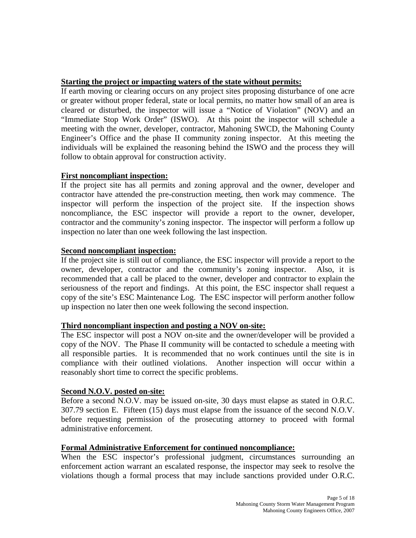## **Starting the project or impacting waters of the state without permits:**

If earth moving or clearing occurs on any project sites proposing disturbance of one acre or greater without proper federal, state or local permits, no matter how small of an area is cleared or disturbed, the inspector will issue a "Notice of Violation" (NOV) and an "Immediate Stop Work Order" (ISWO). At this point the inspector will schedule a meeting with the owner, developer, contractor, Mahoning SWCD, the Mahoning County Engineer's Office and the phase II community zoning inspector. At this meeting the individuals will be explained the reasoning behind the ISWO and the process they will follow to obtain approval for construction activity.

## **First noncompliant inspection:**

If the project site has all permits and zoning approval and the owner, developer and contractor have attended the pre-construction meeting, then work may commence. The inspector will perform the inspection of the project site. If the inspection shows noncompliance, the ESC inspector will provide a report to the owner, developer, contractor and the community's zoning inspector. The inspector will perform a follow up inspection no later than one week following the last inspection.

## **Second noncompliant inspection:**

If the project site is still out of compliance, the ESC inspector will provide a report to the owner, developer, contractor and the community's zoning inspector. Also, it is recommended that a call be placed to the owner, developer and contractor to explain the seriousness of the report and findings. At this point, the ESC inspector shall request a copy of the site's ESC Maintenance Log. The ESC inspector will perform another follow up inspection no later then one week following the second inspection.

#### **Third noncompliant inspection and posting a NOV on-site:**

The ESC inspector will post a NOV on-site and the owner/developer will be provided a copy of the NOV. The Phase II community will be contacted to schedule a meeting with all responsible parties. It is recommended that no work continues until the site is in compliance with their outlined violations. Another inspection will occur within a reasonably short time to correct the specific problems.

#### **Second N.O.V. posted on-site:**

Before a second N.O.V. may be issued on-site, 30 days must elapse as stated in O.R.C. 307.79 section E. Fifteen (15) days must elapse from the issuance of the second N.O.V. before requesting permission of the prosecuting attorney to proceed with formal administrative enforcement.

#### **Formal Administrative Enforcement for continued noncompliance:**

When the ESC inspector's professional judgment, circumstances surrounding an enforcement action warrant an escalated response, the inspector may seek to resolve the violations though a formal process that may include sanctions provided under O.R.C.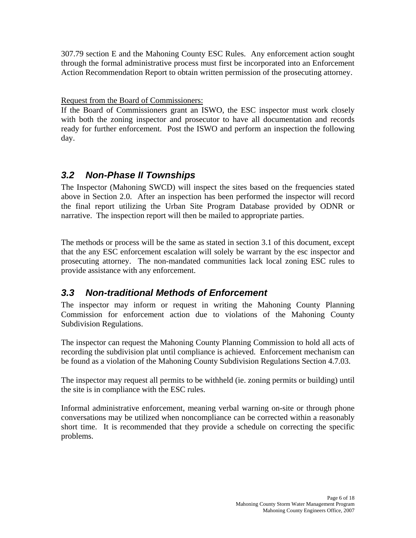307.79 section E and the Mahoning County ESC Rules. Any enforcement action sought through the formal administrative process must first be incorporated into an Enforcement Action Recommendation Report to obtain written permission of the prosecuting attorney.

## Request from the Board of Commissioners:

If the Board of Commissioners grant an ISWO, the ESC inspector must work closely with both the zoning inspector and prosecutor to have all documentation and records ready for further enforcement. Post the ISWO and perform an inspection the following day.

# *3.2 Non-Phase II Townships*

The Inspector (Mahoning SWCD) will inspect the sites based on the frequencies stated above in Section 2.0. After an inspection has been performed the inspector will record the final report utilizing the Urban Site Program Database provided by ODNR or narrative. The inspection report will then be mailed to appropriate parties.

The methods or process will be the same as stated in section 3.1 of this document, except that the any ESC enforcement escalation will solely be warrant by the esc inspector and prosecuting attorney. The non-mandated communities lack local zoning ESC rules to provide assistance with any enforcement.

# *3.3 Non-traditional Methods of Enforcement*

The inspector may inform or request in writing the Mahoning County Planning Commission for enforcement action due to violations of the Mahoning County Subdivision Regulations.

The inspector can request the Mahoning County Planning Commission to hold all acts of recording the subdivision plat until compliance is achieved. Enforcement mechanism can be found as a violation of the Mahoning County Subdivision Regulations Section 4.7.03.

The inspector may request all permits to be withheld (ie. zoning permits or building) until the site is in compliance with the ESC rules.

Informal administrative enforcement, meaning verbal warning on-site or through phone conversations may be utilized when noncompliance can be corrected within a reasonably short time. It is recommended that they provide a schedule on correcting the specific problems.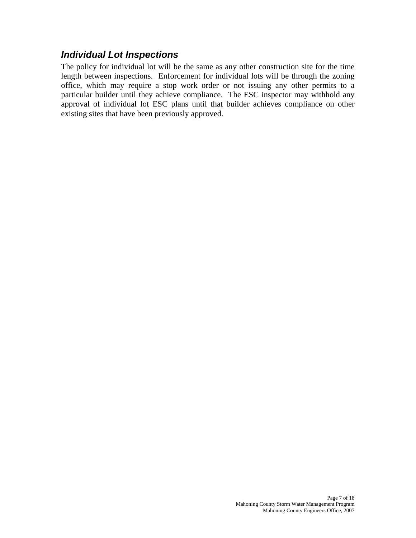## *Individual Lot Inspections*

The policy for individual lot will be the same as any other construction site for the time length between inspections. Enforcement for individual lots will be through the zoning office, which may require a stop work order or not issuing any other permits to a particular builder until they achieve compliance. The ESC inspector may withhold any approval of individual lot ESC plans until that builder achieves compliance on other existing sites that have been previously approved.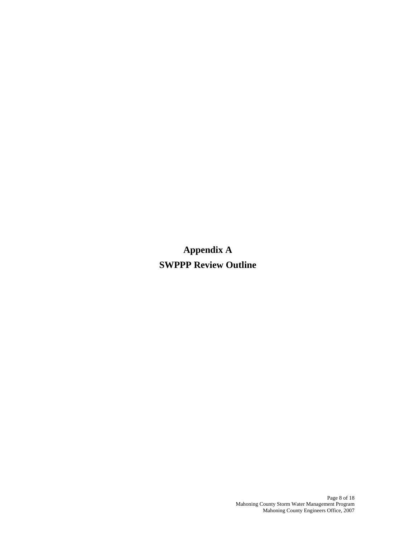**Appendix A SWPPP Review Outline**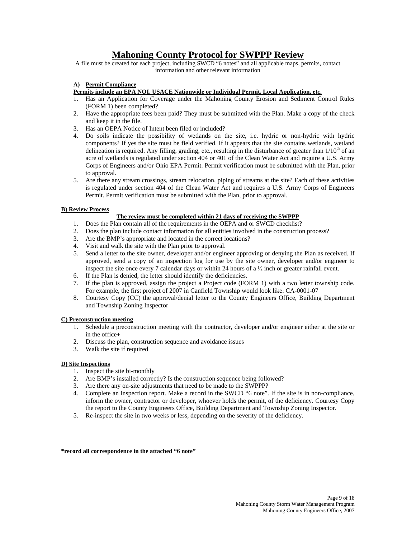## **Mahoning County Protocol for SWPPP Review**

A file must be created for each project, including SWCD "6 notes" and all applicable maps, permits, contact information and other relevant information

#### **A) Permit Compliance**

#### **Permits include an EPA NOI, USACE Nationwide or Individual Permit, Local Application, etc.**

- 1. Has an Application for Coverage under the Mahoning County Erosion and Sediment Control Rules (FORM 1) been completed?
- 2. Have the appropriate fees been paid? They must be submitted with the Plan. Make a copy of the check and keep it in the file.
- 3. Has an OEPA Notice of Intent been filed or included?
- 4. Do soils indicate the possibility of wetlands on the site, i.e. hydric or non-hydric with hydric components? If yes the site must be field verified. If it appears that the site contains wetlands, wetland delineation is required. Any filling, grading, etc., resulting in the disturbance of greater than  $1/10<sup>th</sup>$  of an acre of wetlands is regulated under section 404 or 401 of the Clean Water Act and require a U.S. Army Corps of Engineers and/or Ohio EPA Permit. Permit verification must be submitted with the Plan, prior to approval.
- 5. Are there any stream crossings, stream relocation, piping of streams at the site? Each of these activities is regulated under section 404 of the Clean Water Act and requires a U.S. Army Corps of Engineers Permit. Permit verification must be submitted with the Plan, prior to approval.

#### **B) Review Process**

#### **The review must be completed within 21 days of receiving the SWPPP**

- 1. Does the Plan contain all of the requirements in the OEPA and or SWCD checklist?
- 2. Does the plan include contact information for all entities involved in the construction process?
- 3. Are the BMP's appropriate and located in the correct locations?
- 4. Visit and walk the site with the Plan prior to approval.
- 5. Send a letter to the site owner, developer and/or engineer approving or denying the Plan as received. If approved, send a copy of an inspection log for use by the site owner, developer and/or engineer to inspect the site once every 7 calendar days or within 24 hours of a ½ inch or greater rainfall event.
- 6. If the Plan is denied, the letter should identify the deficiencies.
- 7. If the plan is approved, assign the project a Project code (FORM 1) with a two letter township code. For example, the first project of 2007 in Canfield Township would look like: CA-0001-07
- 8. Courtesy Copy (CC) the approval/denial letter to the County Engineers Office, Building Department and Township Zoning Inspector

#### **C) Preconstruction meeting**

- 1. Schedule a preconstruction meeting with the contractor, developer and/or engineer either at the site or in the office+
- 2. Discuss the plan, construction sequence and avoidance issues
- 3. Walk the site if required

#### **D) Site Inspections**

- 1. Inspect the site bi-monthly
- 2. Are BMP's installed correctly? Is the construction sequence being followed?
- 3. Are there any on-site adjustments that need to be made to the SWPPP?
- 4. Complete an inspection report. Make a record in the SWCD "6 note". If the site is in non-compliance, inform the owner, contractor or developer, whoever holds the permit, of the deficiency. Courtesy Copy the report to the County Engineers Office, Building Department and Township Zoning Inspector.
- 5. Re-inspect the site in two weeks or less, depending on the severity of the deficiency.

#### **\*record all correspondence in the attached "6 note"**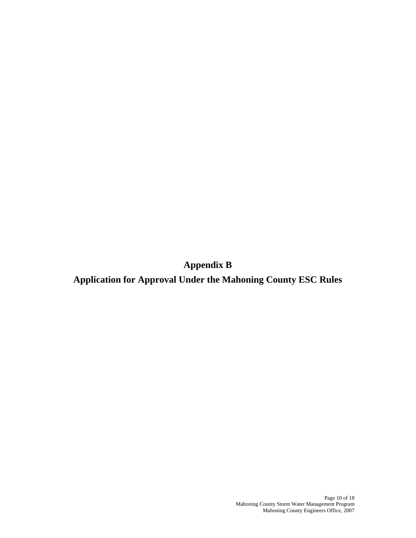**Appendix B** 

**Application for Approval Under the Mahoning County ESC Rules**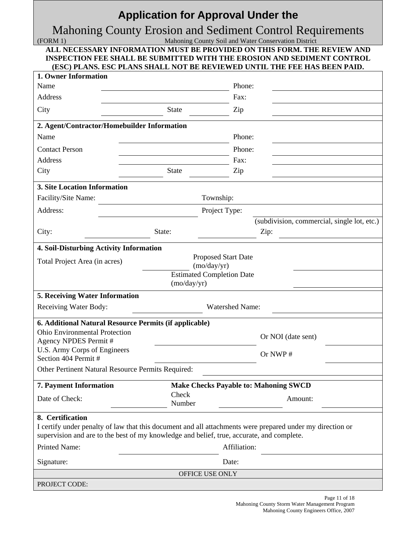# **Application for Approval Under the**

# Mahoning County Erosion and Sediment Control Requirements

(FORM 1) Mahoning County Soil and Water Conservation District

| ALL NECESSARY INFORMATION MUST BE PROVIDED ON THIS FORM. THE REVIEW AND   |
|---------------------------------------------------------------------------|
| INSPECTION FEE SHALL BE SUBMITTED WITH THE EROSION AND SEDIMENT CONTROL   |
| (ESC) PLANS. ESC PLANS SHALL NOT BE REVIEWED UNTIL THE FEE HAS BEEN PAID. |

| 1. Owner Information                                                                                                                                                                                   |                 |                                              |                                                     |  |
|--------------------------------------------------------------------------------------------------------------------------------------------------------------------------------------------------------|-----------------|----------------------------------------------|-----------------------------------------------------|--|
| Name                                                                                                                                                                                                   |                 | Phone:                                       |                                                     |  |
| Address                                                                                                                                                                                                |                 | Fax:                                         |                                                     |  |
| City                                                                                                                                                                                                   | <b>State</b>    | Zip                                          |                                                     |  |
| 2. Agent/Contractor/Homebuilder Information                                                                                                                                                            |                 |                                              |                                                     |  |
| Name                                                                                                                                                                                                   |                 | Phone:                                       |                                                     |  |
| <b>Contact Person</b>                                                                                                                                                                                  |                 | Phone:                                       |                                                     |  |
| <b>Address</b>                                                                                                                                                                                         |                 | Fax:                                         |                                                     |  |
| City                                                                                                                                                                                                   | <b>State</b>    | Zip                                          |                                                     |  |
| <b>3. Site Location Information</b>                                                                                                                                                                    |                 |                                              |                                                     |  |
| Facility/Site Name:                                                                                                                                                                                    |                 | Township:                                    |                                                     |  |
| Address:                                                                                                                                                                                               |                 | Project Type:                                |                                                     |  |
| City:                                                                                                                                                                                                  | State:          |                                              | (subdivision, commercial, single lot, etc.)<br>Zip: |  |
| 4. Soil-Disturbing Activity Information                                                                                                                                                                |                 |                                              |                                                     |  |
| Total Project Area (in acres)                                                                                                                                                                          |                 | <b>Proposed Start Date</b><br>(mo/day/yr)    |                                                     |  |
|                                                                                                                                                                                                        | (mo/day/yr)     | <b>Estimated Completion Date</b>             |                                                     |  |
| 5. Receiving Water Information                                                                                                                                                                         |                 |                                              |                                                     |  |
| Receiving Water Body:                                                                                                                                                                                  |                 | <b>Watershed Name:</b>                       |                                                     |  |
| 6. Additional Natural Resource Permits (if applicable)                                                                                                                                                 |                 |                                              |                                                     |  |
| Ohio Environmental Protection<br>Agency NPDES Permit #                                                                                                                                                 |                 |                                              | Or NOI (date sent)                                  |  |
| U.S. Army Corps of Engineers<br>Section 404 Permit #                                                                                                                                                   |                 |                                              | Or NWP#                                             |  |
| Other Pertinent Natural Resource Permits Required:                                                                                                                                                     |                 |                                              |                                                     |  |
| 7. Payment Information                                                                                                                                                                                 |                 | <b>Make Checks Payable to: Mahoning SWCD</b> |                                                     |  |
| Date of Check:                                                                                                                                                                                         | Check<br>Number |                                              | Amount:                                             |  |
| 8. Certification                                                                                                                                                                                       |                 |                                              |                                                     |  |
| I certify under penalty of law that this document and all attachments were prepared under my direction or<br>supervision and are to the best of my knowledge and belief, true, accurate, and complete. |                 |                                              |                                                     |  |
| <b>Printed Name:</b>                                                                                                                                                                                   | Affiliation:    |                                              |                                                     |  |
| Signature:                                                                                                                                                                                             | Date:           |                                              |                                                     |  |
|                                                                                                                                                                                                        |                 | OFFICE USE ONLY                              |                                                     |  |
| PROJECT CODE:                                                                                                                                                                                          |                 |                                              |                                                     |  |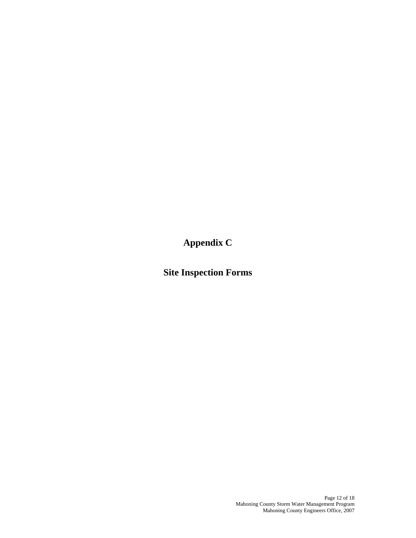**Appendix C** 

**Site Inspection Forms**

Page 12 of 18 Mahoning County Storm Water Management Program Mahoning County Engineers Office, 2007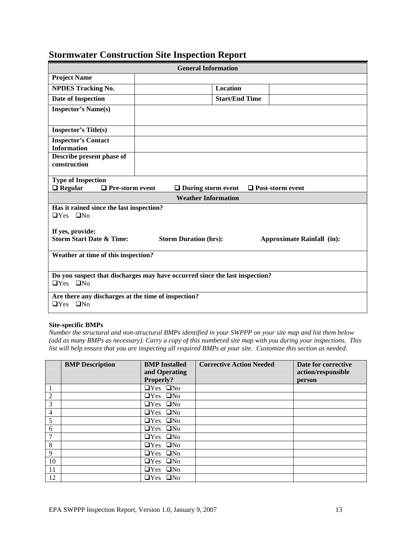| <b>General Information</b>                                                                          |                                                                                |                       |                                   |  |  |  |  |
|-----------------------------------------------------------------------------------------------------|--------------------------------------------------------------------------------|-----------------------|-----------------------------------|--|--|--|--|
| <b>Project Name</b>                                                                                 |                                                                                |                       |                                   |  |  |  |  |
| <b>NPDES Tracking No.</b>                                                                           |                                                                                | <b>Location</b>       |                                   |  |  |  |  |
| <b>Date of Inspection</b>                                                                           |                                                                                | <b>Start/End Time</b> |                                   |  |  |  |  |
| <b>Inspector's Name(s)</b>                                                                          |                                                                                |                       |                                   |  |  |  |  |
| <b>Inspector's Title(s)</b>                                                                         |                                                                                |                       |                                   |  |  |  |  |
| <b>Inspector's Contact</b><br><b>Information</b>                                                    |                                                                                |                       |                                   |  |  |  |  |
| Describe present phase of<br>construction                                                           |                                                                                |                       |                                   |  |  |  |  |
| <b>Type of Inspection</b><br>$\Box$ Regular                                                         | $\Box$ Pre-storm event<br>$\Box$ During storm event<br>$\Box$ Post-storm event |                       |                                   |  |  |  |  |
|                                                                                                     | <b>Weather Information</b>                                                     |                       |                                   |  |  |  |  |
| Has it rained since the last inspection?<br>$\Box$ Yes $\Box$ No                                    |                                                                                |                       |                                   |  |  |  |  |
| If yes, provide:                                                                                    |                                                                                |                       |                                   |  |  |  |  |
| <b>Storm Start Date &amp; Time:</b>                                                                 | <b>Storm Duration (hrs):</b>                                                   |                       | <b>Approximate Rainfall (in):</b> |  |  |  |  |
| Weather at time of this inspection?                                                                 |                                                                                |                       |                                   |  |  |  |  |
| Do you suspect that discharges may have occurred since the last inspection?<br>$\Box$ Yes $\Box$ No |                                                                                |                       |                                   |  |  |  |  |
| Are there any discharges at the time of inspection?<br>$\Box$ Yes $\Box$ No                         |                                                                                |                       |                                   |  |  |  |  |

# **Stormwater Construction Site Inspection Report**

#### **Site-specific BMPs**

*Number the structural and non-structural BMPs identified in your SWPPP on your site map and list them below (add as many BMPs as necessary). Carry a copy of this numbered site map with you during your inspections. This list will help ensure that you are inspecting all required BMPs at your site. Customize this section as needed.* 

|                | <b>BMP</b> Description | <b>BMP</b> Installed | <b>Corrective Action Needed</b> | Date for corrective |
|----------------|------------------------|----------------------|---------------------------------|---------------------|
|                |                        | and Operating        |                                 | action/responsible  |
|                |                        | Properly?            |                                 | person              |
| 1              |                        | $\Box$ Yes $\Box$ No |                                 |                     |
| $\overline{2}$ |                        | $\Box$ Yes $\Box$ No |                                 |                     |
| 3              |                        | $\Box$ Yes $\Box$ No |                                 |                     |
| $\overline{4}$ |                        | $\Box$ Yes $\Box$ No |                                 |                     |
| 5              |                        | $\Box$ Yes $\Box$ No |                                 |                     |
| 6              |                        | $\Box$ Yes $\Box$ No |                                 |                     |
| 7              |                        | $\Box$ Yes $\Box$ No |                                 |                     |
| 8              |                        | $\Box$ Yes $\Box$ No |                                 |                     |
| 9              |                        | $\Box$ Yes $\Box$ No |                                 |                     |
| 10             |                        | $\Box$ Yes $\Box$ No |                                 |                     |
| 11             |                        | $\Box$ Yes $\Box$ No |                                 |                     |
| 12             |                        | $\Box$ Yes $\Box$ No |                                 |                     |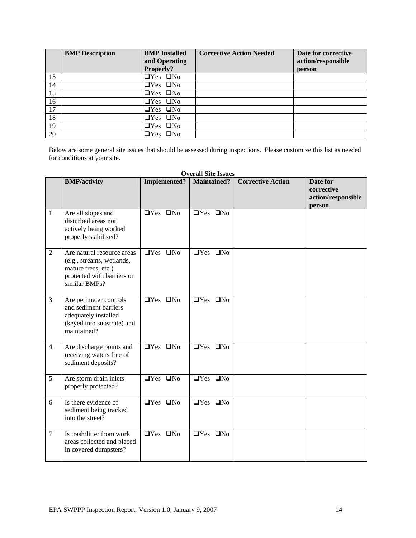|    | <b>BMP</b> Description | <b>BMP</b> Installed<br>and Operating | <b>Corrective Action Needed</b> | Date for corrective<br>action/responsible |
|----|------------------------|---------------------------------------|---------------------------------|-------------------------------------------|
|    |                        | Properly?                             |                                 | person                                    |
| 13 |                        | $\Box$ Yes $\Box$ No                  |                                 |                                           |
| 14 |                        | $\Box$ Yes $\Box$ No                  |                                 |                                           |
| 15 |                        | $\Box$ Yes $\Box$ No                  |                                 |                                           |
| 16 |                        | $\Box$ Yes $\Box$ No                  |                                 |                                           |
| 17 |                        | $\Box$ Yes $\Box$ No                  |                                 |                                           |
| 18 |                        | $\Box$ Yes $\Box$ No                  |                                 |                                           |
| 19 |                        | $\Box$ Yes $\Box$ No                  |                                 |                                           |
| 20 |                        | $\Box$ Yes $\Box$ No                  |                                 |                                           |

Below are some general site issues that should be assessed during inspections. Please customize this list as needed for conditions at your site.

|                |                                                                                                                               |                                      | OVEL AIL DITE 1550C5                 |                          |                                                        |
|----------------|-------------------------------------------------------------------------------------------------------------------------------|--------------------------------------|--------------------------------------|--------------------------|--------------------------------------------------------|
|                | <b>BMP/activity</b>                                                                                                           | <b>Implemented?</b>                  | <b>Maintained?</b>                   | <b>Corrective Action</b> | Date for<br>corrective<br>action/responsible<br>person |
| $\mathbf{1}$   | Are all slopes and<br>disturbed areas not<br>actively being worked<br>properly stabilized?                                    | $\Box$ Yes $\Box$ No                 | $\Box$ Yes $\Box$ No                 |                          |                                                        |
| 2              | Are natural resource areas<br>(e.g., streams, wetlands,<br>mature trees, etc.)<br>protected with barriers or<br>similar BMPs? | $\Box$ Yes $\Box$ No                 | $\Box$ Yes $\Box$ No                 |                          |                                                        |
| 3              | Are perimeter controls<br>and sediment barriers<br>adequately installed<br>(keyed into substrate) and<br>maintained?          | $\Box$ Yes $\Box$ No                 | $\Box$ Yes $\Box$ No                 |                          |                                                        |
| $\overline{4}$ | Are discharge points and<br>receiving waters free of<br>sediment deposits?                                                    | $\overline{QY}$ es $\overline{QN_0}$ | $\overline{QY}$ es $\overline{QN_0}$ |                          |                                                        |
| 5              | Are storm drain inlets<br>properly protected?                                                                                 | $\Box$ Yes $\Box$ No                 | $\Box$ Yes $\Box$ No                 |                          |                                                        |
| 6              | Is there evidence of<br>sediment being tracked<br>into the street?                                                            | $\Box$ Yes $\Box$ No                 | $\Box$ Yes $\Box$ No                 |                          |                                                        |
| $\tau$         | Is trash/litter from work<br>areas collected and placed<br>in covered dumpsters?                                              | $\Box$ Yes $\Box$ No                 | $\Box$ Yes $\Box$ No                 |                          |                                                        |

**Overall Site Issues**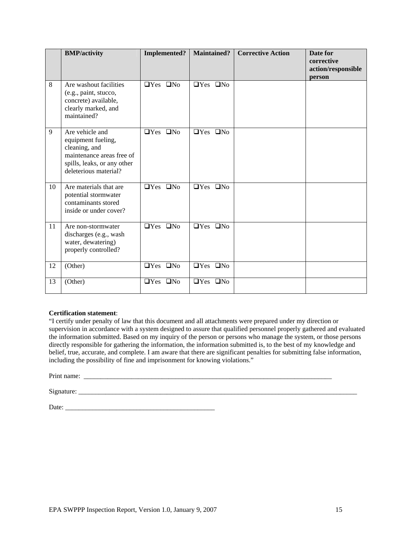|    | <b>BMP/activity</b>                                                                                                                         | <b>Implemented?</b>  | <b>Maintained?</b>   | <b>Corrective Action</b> | Date for<br>corrective<br>action/responsible<br>person |
|----|---------------------------------------------------------------------------------------------------------------------------------------------|----------------------|----------------------|--------------------------|--------------------------------------------------------|
| 8  | Are washout facilities<br>(e.g., paint, stucco,<br>concrete) available,<br>clearly marked, and<br>maintained?                               | $\Box$ Yes $\Box$ No | $\Box$ Yes $\Box$ No |                          |                                                        |
| 9  | Are vehicle and<br>equipment fueling,<br>cleaning, and<br>maintenance areas free of<br>spills, leaks, or any other<br>deleterious material? | $\Box$ Yes $\Box$ No | $\Box$ Yes $\Box$ No |                          |                                                        |
| 10 | Are materials that are<br>potential stormwater<br>contaminants stored<br>inside or under cover?                                             | $\Box$ Yes $\Box$ No | $\Box$ Yes $\Box$ No |                          |                                                        |
| 11 | Are non-stormwater<br>discharges (e.g., wash<br>water, dewatering)<br>properly controlled?                                                  | $\Box$ Yes $\Box$ No | $\Box$ Yes $\Box$ No |                          |                                                        |
| 12 | (Other)                                                                                                                                     | $\Box$ Yes $\Box$ No | $\Box$ Yes $\Box$ No |                          |                                                        |
| 13 | (Other)                                                                                                                                     | $\Box$ Yes $\Box$ No | $\Box$ Yes $\Box$ No |                          |                                                        |

#### **Certification statement**:

"I certify under penalty of law that this document and all attachments were prepared under my direction or supervision in accordance with a system designed to assure that qualified personnel properly gathered and evaluated the information submitted. Based on my inquiry of the person or persons who manage the system, or those persons directly responsible for gathering the information, the information submitted is, to the best of my knowledge and belief, true, accurate, and complete. I am aware that there are significant penalties for submitting false information, including the possibility of fine and imprisonment for knowing violations."

Print name: \_\_\_\_\_\_\_\_\_\_\_\_\_\_\_\_\_\_\_\_\_\_\_\_\_\_\_\_\_\_\_\_\_\_\_\_\_\_\_\_\_\_\_\_\_\_\_\_\_\_\_\_\_\_\_\_\_\_\_\_\_\_\_\_\_\_\_\_\_\_\_\_\_

Signature: \_\_\_\_\_\_\_\_\_\_\_\_\_\_\_\_\_\_\_\_\_\_\_\_\_\_\_\_\_\_\_\_\_\_\_\_\_\_\_\_\_\_\_\_\_\_\_\_\_\_\_\_\_\_\_\_\_\_\_\_\_\_\_\_\_\_\_\_\_\_\_\_\_\_\_\_\_\_\_\_\_\_

Date: \_\_\_\_\_\_\_\_\_\_\_\_\_\_\_\_\_\_\_\_\_\_\_\_\_\_\_\_\_\_\_\_\_\_\_\_\_\_\_\_\_\_\_\_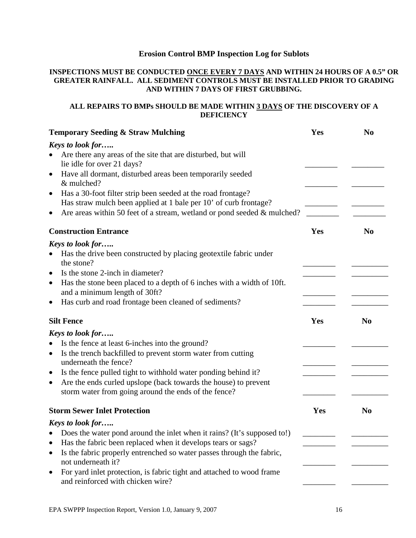## **Erosion Control BMP Inspection Log for Sublots**

#### **INSPECTIONS MUST BE CONDUCTED ONCE EVERY 7 DAYS AND WITHIN 24 HOURS OF A 0.5" OR GREATER RAINFALL. ALL SEDIMENT CONTROLS MUST BE INSTALLED PRIOR TO GRADING AND WITHIN 7 DAYS OF FIRST GRUBBING.**

#### **ALL REPAIRS TO BMPs SHOULD BE MADE WITHIN 3 DAYS OF THE DISCOVERY OF A DEFICIENCY**

| <b>Temporary Seeding &amp; Straw Mulching</b>                                                                                                 | Yes | N <sub>0</sub> |
|-----------------------------------------------------------------------------------------------------------------------------------------------|-----|----------------|
| <b>Keys to look for</b>                                                                                                                       |     |                |
| Are there any areas of the site that are disturbed, but will<br>lie idle for over 21 days?                                                    |     |                |
| Have all dormant, disturbed areas been temporarily seeded<br>$\bullet$<br>& mulched?                                                          |     |                |
| Has a 30-foot filter strip been seeded at the road frontage?<br>$\bullet$<br>Has straw mulch been applied at 1 bale per 10' of curb frontage? |     |                |
| Are areas within 50 feet of a stream, wetland or pond seeded $\&$ mulched?<br>$\bullet$                                                       |     |                |
| <b>Construction Entrance</b>                                                                                                                  | Yes | N <sub>0</sub> |
| <b>Keys to look for</b>                                                                                                                       |     |                |
| Has the drive been constructed by placing geotextile fabric under<br>$\bullet$<br>the stone?                                                  |     |                |
| Is the stone 2-inch in diameter?<br>$\bullet$                                                                                                 |     |                |
| Has the stone been placed to a depth of 6 inches with a width of 10ft.<br>$\bullet$<br>and a minimum length of 30ft?                          |     |                |
| Has curb and road frontage been cleaned of sediments?<br>$\bullet$                                                                            |     |                |
| <b>Silt Fence</b>                                                                                                                             | Yes | N <sub>0</sub> |
| Keys to look for                                                                                                                              |     |                |
| Is the fence at least 6-inches into the ground?<br>$\bullet$                                                                                  |     |                |
| Is the trench backfilled to prevent storm water from cutting<br>$\bullet$<br>underneath the fence?                                            |     |                |
| Is the fence pulled tight to withhold water ponding behind it?<br>$\bullet$                                                                   |     |                |
| Are the ends curled upslope (back towards the house) to prevent<br>$\bullet$<br>storm water from going around the ends of the fence?          |     |                |
| <b>Storm Sewer Inlet Protection</b>                                                                                                           | Yes | N <sub>0</sub> |
| <b>Keys to look for</b>                                                                                                                       |     |                |
| Does the water pond around the inlet when it rains? (It's supposed to!)                                                                       |     |                |
| Has the fabric been replaced when it develops tears or sags?                                                                                  |     |                |
| Is the fabric properly entrenched so water passes through the fabric,<br>not underneath it?                                                   |     |                |
| For yard inlet protection, is fabric tight and attached to wood frame<br>and reinforced with chicken wire?                                    |     |                |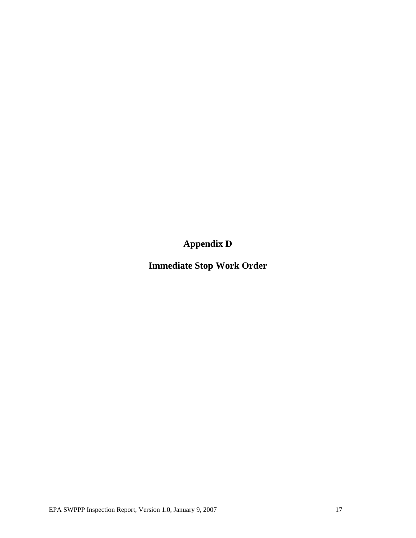**Appendix D** 

**Immediate Stop Work Order**